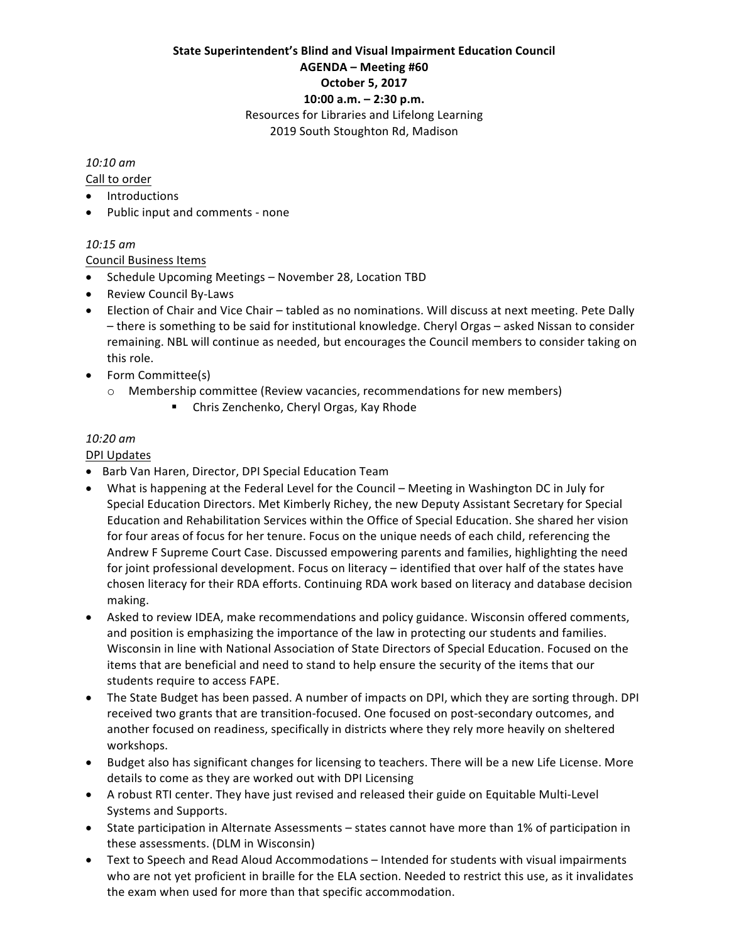### **State Superintendent's Blind and Visual Impairment Education Council AGENDA – Meeting #60 October 5, 2017 10:00 a.m. – 2:30 p.m.** Resources for Libraries and Lifelong Learning 2019 South Stoughton Rd, Madison

#### *10:10 am*

Call to order

- Introductions
- Public input and comments none

### *10:15 am*

Council Business Items

- Schedule Upcoming Meetings November 28, Location TBD
- Review Council By-Laws
- Election of Chair and Vice Chair tabled as no nominations. Will discuss at next meeting. Pete Dally – there is something to be said for institutional knowledge. Cheryl Orgas – asked Nissan to consider remaining. NBL will continue as needed, but encourages the Council members to consider taking on this role.
- Form Committee(s)
	- $\circ$  Membership committee (Review vacancies, recommendations for new members)
		- Chris Zenchenko, Cheryl Orgas, Kay Rhode

### *10:20 am*

DPI Updates

- Barb Van Haren, Director, DPI Special Education Team
- What is happening at the Federal Level for the Council Meeting in Washington DC in July for Special Education Directors. Met Kimberly Richey, the new Deputy Assistant Secretary for Special Education and Rehabilitation Services within the Office of Special Education. She shared her vision for four areas of focus for her tenure. Focus on the unique needs of each child, referencing the Andrew F Supreme Court Case. Discussed empowering parents and families, highlighting the need for joint professional development. Focus on literacy – identified that over half of the states have chosen literacy for their RDA efforts. Continuing RDA work based on literacy and database decision making.
- Asked to review IDEA, make recommendations and policy guidance. Wisconsin offered comments, and position is emphasizing the importance of the law in protecting our students and families. Wisconsin in line with National Association of State Directors of Special Education. Focused on the items that are beneficial and need to stand to help ensure the security of the items that our students require to access FAPE.
- The State Budget has been passed. A number of impacts on DPI, which they are sorting through. DPI received two grants that are transition-focused. One focused on post-secondary outcomes, and another focused on readiness, specifically in districts where they rely more heavily on sheltered workshops.
- Budget also has significant changes for licensing to teachers. There will be a new Life License. More details to come as they are worked out with DPI Licensing
- A robust RTI center. They have just revised and released their guide on Equitable Multi-Level Systems and Supports.
- State participation in Alternate Assessments states cannot have more than 1% of participation in these assessments. (DLM in Wisconsin)
- Text to Speech and Read Aloud Accommodations Intended for students with visual impairments who are not yet proficient in braille for the ELA section. Needed to restrict this use, as it invalidates the exam when used for more than that specific accommodation.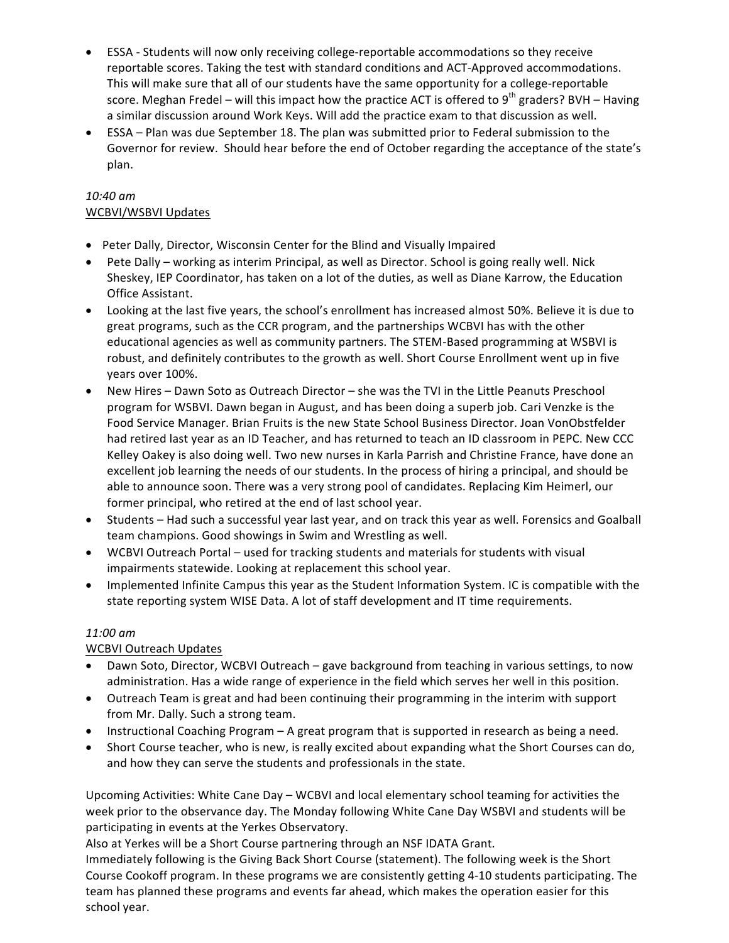- ESSA Students will now only receiving college-reportable accommodations so they receive reportable scores. Taking the test with standard conditions and ACT-Approved accommodations. This will make sure that all of our students have the same opportunity for a college-reportable score. Meghan Fredel – will this impact how the practice ACT is offered to 9<sup>th</sup> graders? BVH – Having a similar discussion around Work Keys. Will add the practice exam to that discussion as well.
- ESSA Plan was due September 18. The plan was submitted prior to Federal submission to the Governor for review. Should hear before the end of October regarding the acceptance of the state's plan.

### *10:40 am* WCBVI/WSBVI Updates

- Peter Dally, Director, Wisconsin Center for the Blind and Visually Impaired
- Pete Dally working as interim Principal, as well as Director. School is going really well. Nick Sheskey, IEP Coordinator, has taken on a lot of the duties, as well as Diane Karrow, the Education Office Assistant.
- Looking at the last five years, the school's enrollment has increased almost 50%. Believe it is due to great programs, such as the CCR program, and the partnerships WCBVI has with the other educational agencies as well as community partners. The STEM-Based programming at WSBVI is robust, and definitely contributes to the growth as well. Short Course Enrollment went up in five years over 100%.
- New Hires Dawn Soto as Outreach Director she was the TVI in the Little Peanuts Preschool program for WSBVI. Dawn began in August, and has been doing a superb job. Cari Venzke is the Food Service Manager. Brian Fruits is the new State School Business Director. Joan VonObstfelder had retired last year as an ID Teacher, and has returned to teach an ID classroom in PEPC. New CCC Kelley Oakey is also doing well. Two new nurses in Karla Parrish and Christine France, have done an excellent job learning the needs of our students. In the process of hiring a principal, and should be able to announce soon. There was a very strong pool of candidates. Replacing Kim Heimerl, our former principal, who retired at the end of last school year.
- Students Had such a successful year last year, and on track this year as well. Forensics and Goalball team champions. Good showings in Swim and Wrestling as well.
- WCBVI Outreach Portal used for tracking students and materials for students with visual impairments statewide. Looking at replacement this school year.
- Implemented Infinite Campus this year as the Student Information System. IC is compatible with the state reporting system WISE Data. A lot of staff development and IT time requirements.

## *11:00 am*

# WCBVI Outreach Updates

- Dawn Soto, Director, WCBVI Outreach gave background from teaching in various settings, to now administration. Has a wide range of experience in the field which serves her well in this position.
- Outreach Team is great and had been continuing their programming in the interim with support from Mr. Dally. Such a strong team.
- Instructional Coaching Program A great program that is supported in research as being a need.
- Short Course teacher, who is new, is really excited about expanding what the Short Courses can do, and how they can serve the students and professionals in the state.

Upcoming Activities: White Cane Day – WCBVI and local elementary school teaming for activities the week prior to the observance day. The Monday following White Cane Day WSBVI and students will be participating in events at the Yerkes Observatory.

Also at Yerkes will be a Short Course partnering through an NSF IDATA Grant.

Immediately following is the Giving Back Short Course (statement). The following week is the Short Course Cookoff program. In these programs we are consistently getting 4-10 students participating. The team has planned these programs and events far ahead, which makes the operation easier for this school year.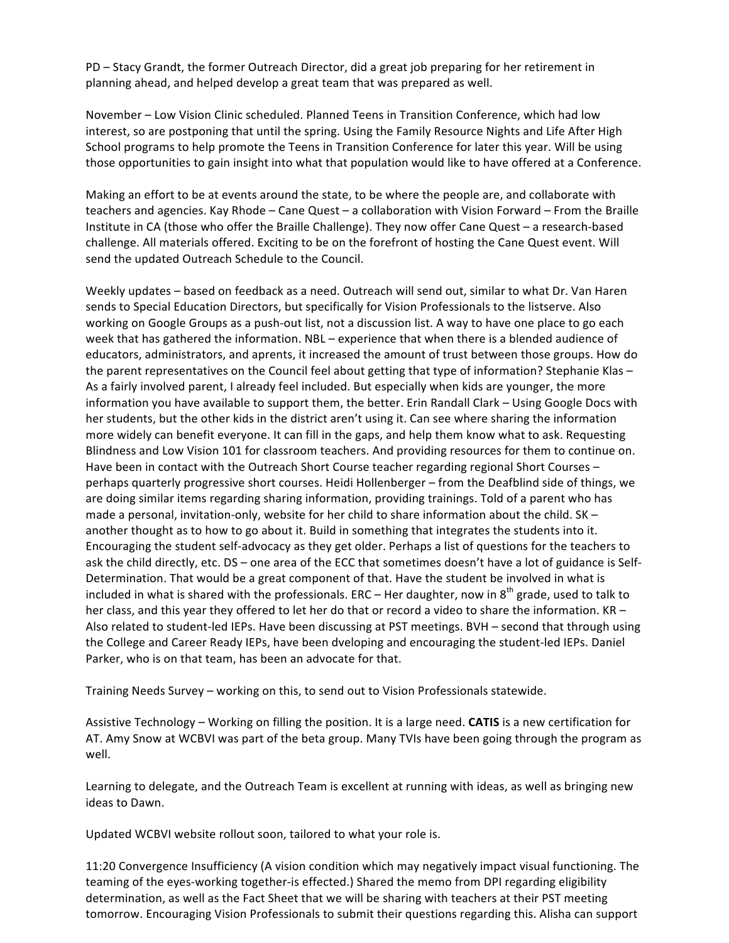PD – Stacy Grandt, the former Outreach Director, did a great job preparing for her retirement in planning ahead, and helped develop a great team that was prepared as well.

November – Low Vision Clinic scheduled. Planned Teens in Transition Conference, which had low interest, so are postponing that until the spring. Using the Family Resource Nights and Life After High School programs to help promote the Teens in Transition Conference for later this year. Will be using those opportunities to gain insight into what that population would like to have offered at a Conference.

Making an effort to be at events around the state, to be where the people are, and collaborate with teachers and agencies. Kay Rhode – Cane Quest – a collaboration with Vision Forward – From the Braille Institute in CA (those who offer the Braille Challenge). They now offer Cane Quest – a research-based challenge. All materials offered. Exciting to be on the forefront of hosting the Cane Quest event. Will send the updated Outreach Schedule to the Council.

Weekly updates – based on feedback as a need. Outreach will send out, similar to what Dr. Van Haren sends to Special Education Directors, but specifically for Vision Professionals to the listserve. Also working on Google Groups as a push-out list, not a discussion list. A way to have one place to go each week that has gathered the information. NBL – experience that when there is a blended audience of educators, administrators, and aprents, it increased the amount of trust between those groups. How do the parent representatives on the Council feel about getting that type of information? Stephanie Klas – As a fairly involved parent, I already feel included. But especially when kids are younger, the more information you have available to support them, the better. Erin Randall Clark – Using Google Docs with her students, but the other kids in the district aren't using it. Can see where sharing the information more widely can benefit everyone. It can fill in the gaps, and help them know what to ask. Requesting Blindness and Low Vision 101 for classroom teachers. And providing resources for them to continue on. Have been in contact with the Outreach Short Course teacher regarding regional Short Courses  $$ perhaps quarterly progressive short courses. Heidi Hollenberger – from the Deafblind side of things, we are doing similar items regarding sharing information, providing trainings. Told of a parent who has made a personal, invitation-only, website for her child to share information about the child.  $SK$ another thought as to how to go about it. Build in something that integrates the students into it. Encouraging the student self-advocacy as they get older. Perhaps a list of questions for the teachers to ask the child directly, etc. DS – one area of the ECC that sometimes doesn't have a lot of guidance is Self-Determination. That would be a great component of that. Have the student be involved in what is included in what is shared with the professionals.  $ERC - Her$  daughter, now in  $8<sup>th</sup>$  grade, used to talk to her class, and this year they offered to let her do that or record a video to share the information.  $KR -$ Also related to student-led IEPs. Have been discussing at PST meetings. BVH – second that through using the College and Career Ready IEPs, have been dveloping and encouraging the student-led IEPs. Daniel Parker, who is on that team, has been an advocate for that.

Training Needs Survey – working on this, to send out to Vision Professionals statewide.

Assistive Technology – Working on filling the position. It is a large need. **CATIS** is a new certification for AT. Amy Snow at WCBVI was part of the beta group. Many TVIs have been going through the program as well. 

Learning to delegate, and the Outreach Team is excellent at running with ideas, as well as bringing new ideas to Dawn. 

Updated WCBVI website rollout soon, tailored to what your role is.

11:20 Convergence Insufficiency (A vision condition which may negatively impact visual functioning. The teaming of the eyes-working together-is effected.) Shared the memo from DPI regarding eligibility determination, as well as the Fact Sheet that we will be sharing with teachers at their PST meeting tomorrow. Encouraging Vision Professionals to submit their questions regarding this. Alisha can support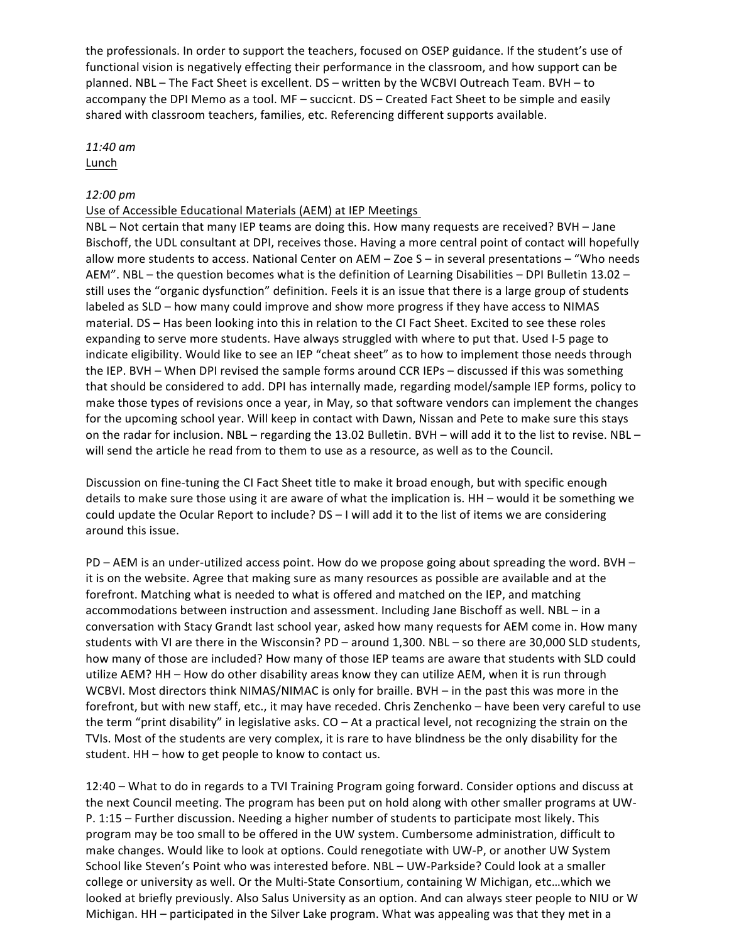the professionals. In order to support the teachers, focused on OSEP guidance. If the student's use of functional vision is negatively effecting their performance in the classroom, and how support can be planned. NBL – The Fact Sheet is excellent. DS – written by the WCBVI Outreach Team. BVH – to accompany the DPI Memo as a tool. MF – succicnt. DS – Created Fact Sheet to be simple and easily shared with classroom teachers, families, etc. Referencing different supports available.

#### *11:40 am* Lunch

#### *12:00 pm*

#### Use of Accessible Educational Materials (AEM) at IEP Meetings

NBL – Not certain that many IEP teams are doing this. How many requests are received? BVH – Jane Bischoff, the UDL consultant at DPI, receives those. Having a more central point of contact will hopefully allow more students to access. National Center on AEM – Zoe S – in several presentations – "Who needs AEM". NBL – the question becomes what is the definition of Learning Disabilities – DPI Bulletin 13.02 – still uses the "organic dysfunction" definition. Feels it is an issue that there is a large group of students labeled as SLD – how many could improve and show more progress if they have access to NIMAS material. DS – Has been looking into this in relation to the CI Fact Sheet. Excited to see these roles expanding to serve more students. Have always struggled with where to put that. Used I-5 page to indicate eligibility. Would like to see an IEP "cheat sheet" as to how to implement those needs through the IEP. BVH – When DPI revised the sample forms around CCR IEPs – discussed if this was something that should be considered to add. DPI has internally made, regarding model/sample IEP forms, policy to make those types of revisions once a year, in May, so that software vendors can implement the changes for the upcoming school year. Will keep in contact with Dawn, Nissan and Pete to make sure this stays on the radar for inclusion. NBL – regarding the 13.02 Bulletin. BVH – will add it to the list to revise. NBL – will send the article he read from to them to use as a resource, as well as to the Council.

Discussion on fine-tuning the CI Fact Sheet title to make it broad enough, but with specific enough details to make sure those using it are aware of what the implication is.  $HH -$  would it be something we could update the Ocular Report to include?  $DS - I$  will add it to the list of items we are considering around this issue.

PD – AEM is an under-utilized access point. How do we propose going about spreading the word. BVH – it is on the website. Agree that making sure as many resources as possible are available and at the forefront. Matching what is needed to what is offered and matched on the IEP, and matching accommodations between instruction and assessment. Including Jane Bischoff as well. NBL – in a conversation with Stacy Grandt last school year, asked how many requests for AEM come in. How many students with VI are there in the Wisconsin? PD – around 1,300. NBL – so there are 30,000 SLD students, how many of those are included? How many of those IEP teams are aware that students with SLD could utilize AEM? HH - How do other disability areas know they can utilize AEM, when it is run through WCBVI. Most directors think NIMAS/NIMAC is only for braille. BVH – in the past this was more in the forefront, but with new staff, etc., it may have receded. Chris Zenchenko - have been very careful to use the term "print disability" in legislative asks.  $CO - At$  a practical level, not recognizing the strain on the TVIs. Most of the students are very complex, it is rare to have blindness be the only disability for the student. HH - how to get people to know to contact us.

12:40 – What to do in regards to a TVI Training Program going forward. Consider options and discuss at the next Council meeting. The program has been put on hold along with other smaller programs at UW-P. 1:15 – Further discussion. Needing a higher number of students to participate most likely. This program may be too small to be offered in the UW system. Cumbersome administration, difficult to make changes. Would like to look at options. Could renegotiate with UW-P, or another UW System School like Steven's Point who was interested before. NBL - UW-Parkside? Could look at a smaller college or university as well. Or the Multi-State Consortium, containing W Michigan, etc...which we looked at briefly previously. Also Salus University as an option. And can always steer people to NIU or W Michigan. HH – participated in the Silver Lake program. What was appealing was that they met in a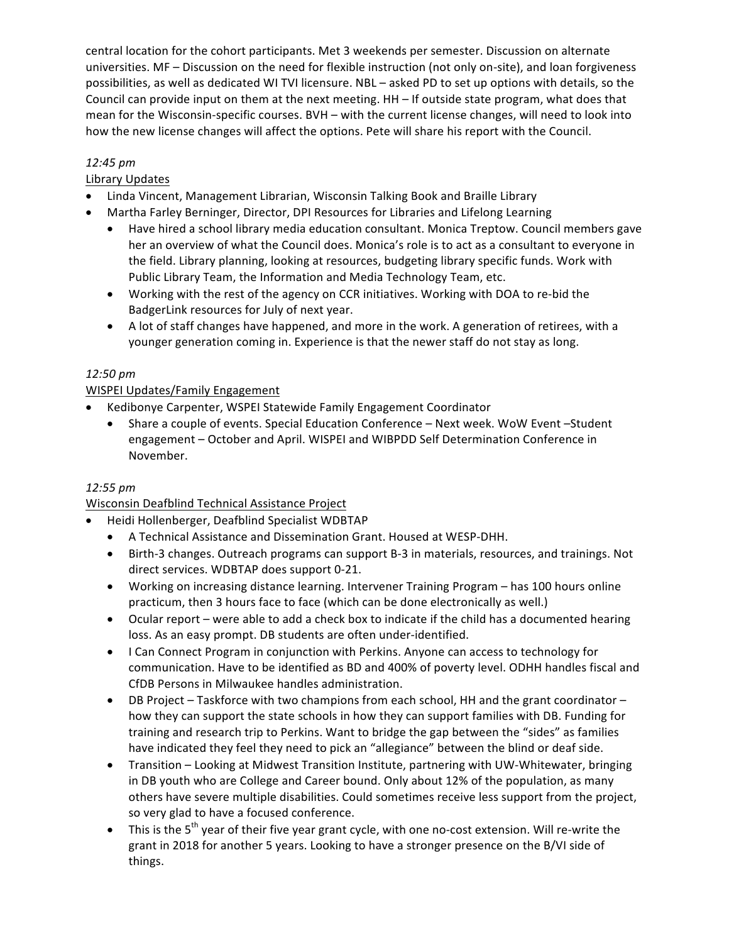central location for the cohort participants. Met 3 weekends per semester. Discussion on alternate universities. MF – Discussion on the need for flexible instruction (not only on-site), and loan forgiveness possibilities, as well as dedicated WI TVI licensure. NBL - asked PD to set up options with details, so the Council can provide input on them at the next meeting. HH – If outside state program, what does that mean for the Wisconsin-specific courses. BVH – with the current license changes, will need to look into how the new license changes will affect the options. Pete will share his report with the Council.

## *12:45 pm*

## Library Updates

- Linda Vincent, Management Librarian, Wisconsin Talking Book and Braille Library
- Martha Farley Berninger, Director, DPI Resources for Libraries and Lifelong Learning
	- Have hired a school library media education consultant. Monica Treptow. Council members gave her an overview of what the Council does. Monica's role is to act as a consultant to everyone in the field. Library planning, looking at resources, budgeting library specific funds. Work with Public Library Team, the Information and Media Technology Team, etc.
	- Working with the rest of the agency on CCR initiatives. Working with DOA to re-bid the BadgerLink resources for July of next year.
	- A lot of staff changes have happened, and more in the work. A generation of retirees, with a younger generation coming in. Experience is that the newer staff do not stay as long.

## *12:50 pm*

## **WISPEI Updates/Family Engagement**

- Kedibonye Carpenter, WSPEI Statewide Family Engagement Coordinator
	- Share a couple of events. Special Education Conference Next week. WoW Event Student engagement – October and April. WISPEI and WIBPDD Self Determination Conference in November.

## *12:55 pm*

## Wisconsin Deafblind Technical Assistance Project

- Heidi Hollenberger, Deafblind Specialist WDBTAP
	- A Technical Assistance and Dissemination Grant. Housed at WESP-DHH.
	- Birth-3 changes. Outreach programs can support B-3 in materials, resources, and trainings. Not direct services. WDBTAP does support 0-21.
	- Working on increasing distance learning. Intervener Training Program has 100 hours online practicum, then 3 hours face to face (which can be done electronically as well.)
	- Ocular report were able to add a check box to indicate if the child has a documented hearing loss. As an easy prompt. DB students are often under-identified.
	- I Can Connect Program in conjunction with Perkins. Anyone can access to technology for communication. Have to be identified as BD and 400% of poverty level. ODHH handles fiscal and CfDB Persons in Milwaukee handles administration.
	- DB Project Taskforce with two champions from each school, HH and the grant coordinator how they can support the state schools in how they can support families with DB. Funding for training and research trip to Perkins. Want to bridge the gap between the "sides" as families have indicated they feel they need to pick an "allegiance" between the blind or deaf side.
	- Transition Looking at Midwest Transition Institute, partnering with UW-Whitewater, bringing in DB youth who are College and Career bound. Only about 12% of the population, as many others have severe multiple disabilities. Could sometimes receive less support from the project, so very glad to have a focused conference.
	- This is the  $5<sup>th</sup>$  year of their five year grant cycle, with one no-cost extension. Will re-write the grant in 2018 for another 5 years. Looking to have a stronger presence on the B/VI side of things.